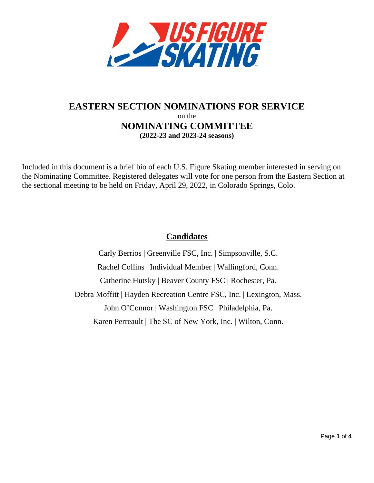

# **EASTERN SECTION NOMINATIONS FOR SERVICE** on the **NOMINATING COMMITTEE (2022-23 and 2023-24 seasons)**

Included in this document is a brief bio of each U.S. Figure Skating member interested in serving on the Nominating Committee. Registered delegates will vote for one person from the Eastern Section at the sectional meeting to be held on Friday, April 29, 2022, in Colorado Springs, Colo.

# **Candidates**

Carly Berrios | Greenville FSC, Inc. | Simpsonville, S.C. Rachel Collins | Individual Member | Wallingford, Conn. Catherine Hutsky | Beaver County FSC | Rochester, Pa. Debra Moffitt | Hayden Recreation Centre FSC, Inc. | Lexington, Mass. John O'Connor | Washington FSC | Philadelphia, Pa. Karen Perreault | The SC of New York, Inc. | Wilton, Conn.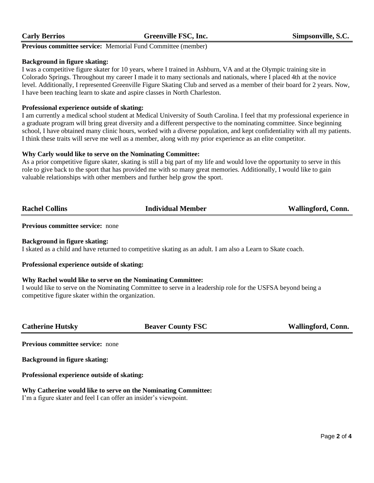**Previous committee service:** Memorial Fund Committee (member)

#### **Background in figure skating:**

I was a competitive figure skater for 10 years, where I trained in Ashburn, VA and at the Olympic training site in Colorado Springs. Throughout my career I made it to many sectionals and nationals, where I placed 4th at the novice level. Additionally, I represented Greenville Figure Skating Club and served as a member of their board for 2 years. Now, I have been teaching learn to skate and aspire classes in North Charleston.

#### **Professional experience outside of skating:**

I am currently a medical school student at Medical University of South Carolina. I feel that my professional experience in a graduate program will bring great diversity and a different perspective to the nominating committee. Since beginning school, I have obtained many clinic hours, worked with a diverse population, and kept confidentiality with all my patients. I think these traits will serve me well as a member, along with my prior experience as an elite competitor.

#### **Why Carly would like to serve on the Nominating Committee:**

As a prior competitive figure skater, skating is still a big part of my life and would love the opportunity to serve in this role to give back to the sport that has provided me with so many great memories. Additionally, I would like to gain valuable relationships with other members and further help grow the sport.

| <b>Rachel Collins</b> | <b>Individual Member</b> | <b>Wallingford, Conn.</b> |
|-----------------------|--------------------------|---------------------------|
|                       |                          |                           |

### **Previous committee service:** none

**Background in figure skating:**

I skated as a child and have returned to competitive skating as an adult. I am also a Learn to Skate coach.

#### **Professional experience outside of skating:**

#### **Why Rachel would like to serve on the Nominating Committee:**

I would like to serve on the Nominating Committee to serve in a leadership role for the USFSA beyond being a competitive figure skater within the organization.

**Catherine Hutsky Beaver County FSC Wallingford, Conn.**

**Previous committee service:** none

**Background in figure skating:**

**Professional experience outside of skating:**

# **Why Catherine would like to serve on the Nominating Committee:**

I'm a figure skater and feel I can offer an insider's viewpoint.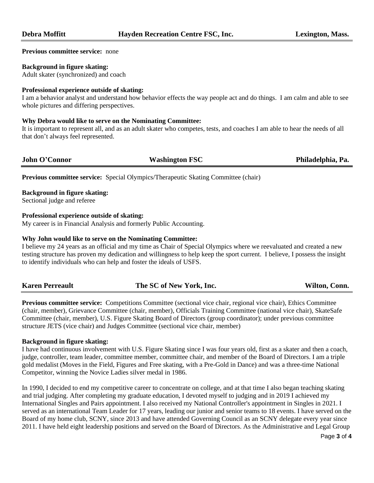#### **Previous committee service:** none

#### **Background in figure skating:**

Adult skater (synchronized) and coach

### **Professional experience outside of skating:**

I am a behavior analyst and understand how behavior effects the way people act and do things. I am calm and able to see whole pictures and differing perspectives.

#### **Why Debra would like to serve on the Nominating Committee:**

It is important to represent all, and as an adult skater who competes, tests, and coaches I am able to hear the needs of all that don't always feel represented.

**John O'Connor Washington FSC Philadelphia, Pa.**

**Previous committee service:** Special Olympics/Therapeutic Skating Committee (chair)

#### **Background in figure skating:**

Sectional judge and referee

#### **Professional experience outside of skating:**

My career is in Financial Analysis and formerly Public Accounting.

#### **Why John would like to serve on the Nominating Committee:**

I believe my 24 years as an official and my time as Chair of Special Olympics where we reevaluated and created a new testing structure has proven my dedication and willingness to help keep the sport current. I believe, I possess the insight to identify individuals who can help and foster the ideals of USFS.

| <b>Karen Perreault</b> | The SC of New York, Inc. | Wilton, Conn. |
|------------------------|--------------------------|---------------|
|------------------------|--------------------------|---------------|

**Previous committee service:** Competitions Committee (sectional vice chair, regional vice chair), Ethics Committee (chair, member), Grievance Committee (chair, member), Officials Training Committee (national vice chair), SkateSafe Committee (chair, member), U.S. Figure Skating Board of Directors (group coordinator); under previous committee structure JETS (vice chair) and Judges Committee (sectional vice chair, member)

#### **Background in figure skating:**

I have had continuous involvement with U.S. Figure Skating since I was four years old, first as a skater and then a coach, judge, controller, team leader, committee member, committee chair, and member of the Board of Directors. I am a triple gold medalist (Moves in the Field, Figures and Free skating, with a Pre-Gold in Dance) and was a three-time National Competitor, winning the Novice Ladies silver medal in 1986.

In 1990, I decided to end my competitive career to concentrate on college, and at that time I also began teaching skating and trial judging. After completing my graduate education, I devoted myself to judging and in 2019 I achieved my International Singles and Pairs appointment. I also received my National Controller's appointment in Singles in 2021. I served as an international Team Leader for 17 years, leading our junior and senior teams to 18 events. I have served on the Board of my home club, SCNY, since 2013 and have attended Governing Council as an SCNY delegate every year since 2011. I have held eight leadership positions and served on the Board of Directors. As the Administrative and Legal Group